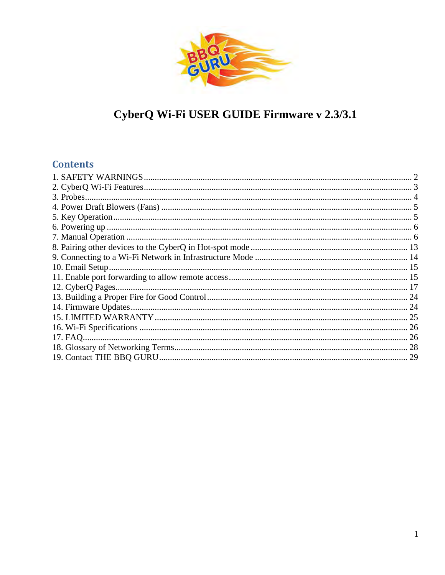

# CyberQ Wi-Fi USER GUIDE Firmware v 2.3/3.1

# **Contents**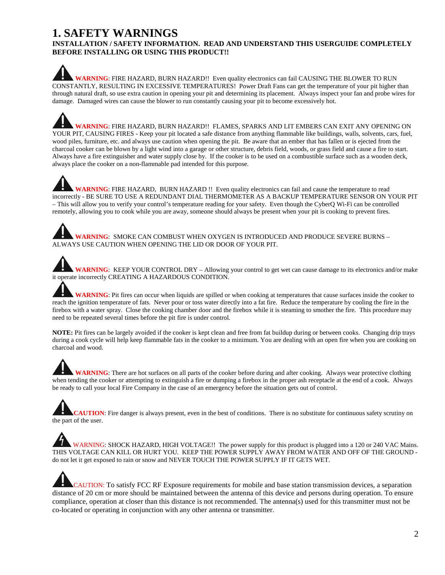### <span id="page-1-0"></span>**1. SAFETY WARNINGS**

#### **INSTALLATION / SAFETY INFORMATION. READ AND UNDERSTAND THIS USERGUIDE COMPLETELY BEFORE INSTALLING OR USING THIS PRODUCT!!**

**WARNING**: FIRE HAZARD, BURN HAZARD!! Even quality electronics can fail CAUSING THE BLOWER TO RUN CONSTANTLY, RESULTING IN EXCESSIVE TEMPERATURES! Power Draft Fans can get the temperature of your pit higher than through natural draft, so use extra caution in opening your pit and determining its placement. Always inspect your fan and probe wires for damage. Damaged wires can cause the blower to run constantly causing your pit to become excessively hot.

**WARNING**: FIRE HAZARD, BURN HAZARD!! FLAMES, SPARKS AND LIT EMBERS CAN EXIT ANY OPENING ON YOUR PIT, CAUSING FIRES - Keep your pit located a safe distance from anything flammable like buildings, walls, solvents, cars, fuel, wood piles, furniture, etc. and always use caution when opening the pit. Be aware that an ember that has fallen or is ejected from the charcoal cooker can be blown by a light wind into a garage or other structure, debris field, woods, or grass field and cause a fire to start. Always have a fire extinguisher and water supply close by. If the cooker is to be used on a combustible surface such as a wooden deck, always place the cooker on a non-flammable pad intended for this purpose.

**WARNING**: FIRE HAZARD, BURN HAZARD !! Even quality electronics can fail and cause the temperature to read incorrectly - BE SURE TO USE A REDUNDANT DIAL THERMOMETER AS A BACKUP TEMPERATURE SENSOR ON YOUR PIT – This will allow you to verify your control's temperature reading for your safety. Even though the CyberQ Wi-Fi can be controlled remotely, allowing you to cook while you are away, someone should always be present when your pit is cooking to prevent fires.

**WARNING**: SMOKE CAN COMBUST WHEN OXYGEN IS INTRODUCED AND PRODUCE SEVERE BURNS – ALWAYS USE CAUTION WHEN OPENING THE LID OR DOOR OF YOUR PIT.

**WARNING**: KEEP YOUR CONTROL DRY – Allowing your control to get wet can cause damage to its electronics and/or make it operate incorrectly CREATING A HAZARDOUS CONDITION.

**WARNING**: Pit fires can occur when liquids are spilled or when cooking at temperatures that cause surfaces inside the cooker to reach the ignition temperature of fats. Never pour or toss water directly into a fat fire. Reduce the temperature by cooling the fire in the firebox with a water spray. Close the cooking chamber door and the firebox while it is steaming to smother the fire. This procedure may need to be repeated several times before the pit fire is under control.

**NOTE:** Pit fires can be largely avoided if the cooker is kept clean and free from fat buildup during or between cooks. Changing drip trays during a cook cycle will help keep flammable fats in the cooker to a minimum. You are dealing with an open fire when you are cooking on charcoal and wood.

**WARNING**: There are hot surfaces on all parts of the cooker before during and after cooking. Always wear protective clothing when tending the cooker or attempting to extinguish a fire or dumping a firebox in the proper ash receptacle at the end of a cook. Always be ready to call your local Fire Company in the case of an emergency before the situation gets out of control.

**CAUTION**: Fire danger is always present, even in the best of conditions. There is no substitute for continuous safety scrutiny on the part of the user.

WARNING: SHOCK HAZARD, HIGH VOLTAGE!! The power supply for this product is plugged into a 120 or 240 VAC Mains. THIS VOLTAGE CAN KILL OR HURT YOU. KEEP THE POWER SUPPLY AWAY FROM WATER AND OFF OF THE GROUND do not let it get exposed to rain or snow and NEVER TOUCH THE POWER SUPPLY IF IT GETS WET.

CAUTION: To satisfy FCC RF Exposure requirements for mobile and base station transmission devices, a separation distance of 20 cm or more should be maintained between the antenna of this device and persons during operation. To ensure compliance, operation at closer than this distance is not recommended. The antenna(s) used for this transmitter must not be co-located or operating in conjunction with any other antenna or transmitter.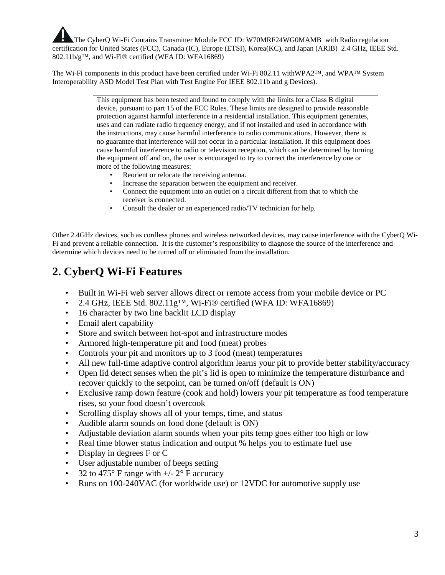The CyberQ Wi-Fi Contains Transmitter Module FCC ID: W70MRF24WG0MAMB with Radio regulation certification for United States (FCC), Canada (IC), Europe (ETSI), Korea(KC), and Japan (ARIB) 2.4 GHz, IEEE Std. 802.11b/g™, and Wi-Fi® certified (WFA ID: WFA16869)

The Wi-Fi components in this product have been certified under Wi-Fi 802.11 withWPA2™, and WPA™ System Interoperability ASD Model Test Plan with Test Engine For IEEE 802.11b and g Devices).

> This equipment has been tested and found to comply with the limits for a Class B digital device, pursuant to part 15 of the FCC Rules. These limits are designed to provide reasonable protection against harmful interference in a residential installation. This equipment generates, uses and can radiate radio frequency energy, and if not installed and used in accordance with the instructions, may cause harmful interference to radio communications. However, there is no guarantee that interference will not occur in a particular installation. If this equipment does cause harmful interference to radio or television reception, which can be determined by turning the equipment off and on, the user is encouraged to try to correct the interference by one or more of the following measures:

- Reorient or relocate the receiving antenna.
- Increase the separation between the equipment and receiver.
- Connect the equipment into an outlet on a circuit different from that to which the receiver is connected.
- Consult the dealer or an experienced radio/TV technician for help.

Other 2.4GHz devices, such as cordless phones and wireless networked devices, may cause interference with the CyberQ Wi-Fi and prevent a reliable connection. It is the customer's responsibility to diagnose the source of the interference and determine which devices need to be turned off or eliminated from the installation.

# <span id="page-2-0"></span>**2. CyberQ Wi-Fi Features**

- Built in Wi-Fi web server allows direct or remote access from your mobile device or PC
- 2.4 GHz, IEEE Std. 802.11 $g^{TM}$ , Wi-Fi® certified (WFA ID: WFA16869)
- 16 character by two line backlit LCD display
- Email alert capability
- Store and switch between hot-spot and infrastructure modes
- Armored high-temperature pit and food (meat) probes
- Controls your pit and monitors up to 3 food (meat) temperatures
- All new full-time adaptive control algorithm learns your pit to provide better stability/accuracy
- Open lid detect senses when the pit's lid is open to minimize the temperature disturbance and recover quickly to the setpoint, can be turned on/off (default is ON)
- Exclusive ramp down feature (cook and hold) lowers your pit temperature as food temperature rises, so your food doesn't overcook
- Scrolling display shows all of your temps, time, and status
- Audible alarm sounds on food done (default is ON)
- Adjustable deviation alarm sounds when your pits temp goes either too high or low
- Real time blower status indication and output % helps you to estimate fuel use
- Display in degrees F or C
- User adjustable number of beeps setting
- 32 to 475 $\degree$  F range with  $+/- 2\degree$  F accuracy
- Runs on 100-240VAC (for worldwide use) or 12VDC for automotive supply use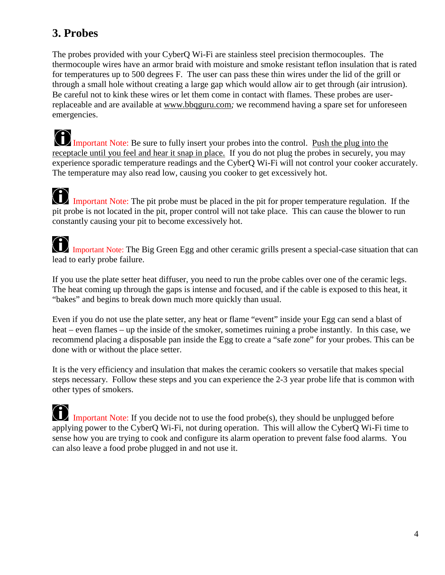# <span id="page-3-0"></span>**3. Probes**

The probes provided with your CyberQ Wi-Fi are stainless steel precision thermocouples. The thermocouple wires have an armor braid with moisture and smoke resistant teflon insulation that is rated for temperatures up to 500 degrees F. The user can pass these thin wires under the lid of the grill or through a small hole without creating a large gap which would allow air to get through (air intrusion). Be careful not to kink these wires or let them come in contact with flames. These probes are userreplaceable and are available at [www.bbqguru.com](http://www.bbqguru.com/)*;* we recommend having a spare set for unforeseen emergencies.

Important Note: Be sure to fully insert your probes into the control. Push the plug into the receptacle until you feel and hear it snap in place. If you do not plug the probes in securely, you may experience sporadic temperature readings and the CyberQ Wi-Fi will not control your cooker accurately. The temperature may also read low, causing you cooker to get excessively hot.

Important Note: The pit probe must be placed in the pit for proper temperature regulation. If the pit probe is not located in the pit, proper control will not take place. This can cause the blower to run constantly causing your pit to become excessively hot.

 Important Note: The Big Green Egg and other ceramic grills present a special-case situation that can lead to early probe failure.

If you use the plate setter heat diffuser, you need to run the probe cables over one of the ceramic legs. The heat coming up through the gaps is intense and focused, and if the cable is exposed to this heat, it "bakes" and begins to break down much more quickly than usual.

Even if you do not use the plate setter, any heat or flame "event" inside your Egg can send a blast of heat – even flames – up the inside of the smoker, sometimes ruining a probe instantly. In this case, we recommend placing a disposable pan inside the Egg to create a "safe zone" for your probes. This can be done with or without the place setter.

It is the very efficiency and insulation that makes the ceramic cookers so versatile that makes special steps necessary. Follow these steps and you can experience the 2-3 year probe life that is common with other types of smokers.

 Important Note: If you decide not to use the food probe(s), they should be unplugged before applying power to the CyberQ Wi-Fi, not during operation. This will allow the CyberQ Wi-Fi time to sense how you are trying to cook and configure its alarm operation to prevent false food alarms. You can also leave a food probe plugged in and not use it.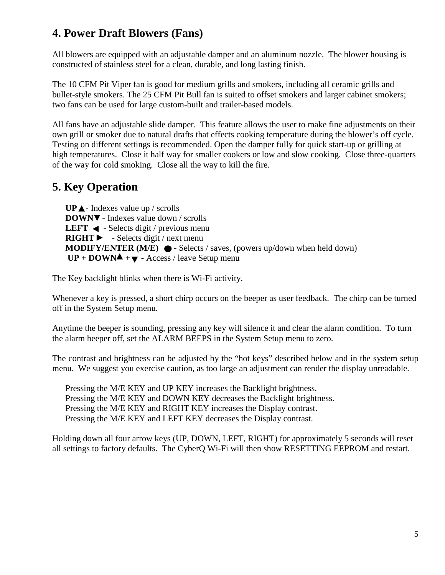# <span id="page-4-0"></span>**4. Power Draft Blowers (Fans)**

All blowers are equipped with an adjustable damper and an aluminum nozzle. The blower housing is constructed of stainless steel for a clean, durable, and long lasting finish.

The 10 CFM Pit Viper fan is good for medium grills and smokers, including all ceramic grills and bullet-style smokers. The 25 CFM Pit Bull fan is suited to offset smokers and larger cabinet smokers; two fans can be used for large custom-built and trailer-based models.

All fans have an adjustable slide damper. This feature allows the user to make fine adjustments on their own grill or smoker due to natural drafts that effects cooking temperature during the blower's off cycle. Testing on different settings is recommended. Open the damper fully for quick start-up or grilling at high temperatures. Close it half way for smaller cookers or low and slow cooking. Close three-quarters of the way for cold smoking. Close all the way to kill the fire.

# <span id="page-4-1"></span>**5. Key Operation**

**UP** - Indexes value up / scrolls **DOWN** - Indexes value down / scrolls **LEFT**  $\triangleleft$  - Selects digit / previous menu **RIGHT** - Selects digit / next menu **MODIFY/ENTER (M/E)**  $\bullet$  - Selects / saves, (powers up/down when held down)  $UP + DOWN^2 + \nabla$  - Access / leave Setup menu

The Key backlight blinks when there is Wi-Fi activity.

Whenever a key is pressed, a short chirp occurs on the beeper as user feedback. The chirp can be turned off in the System Setup menu.

Anytime the beeper is sounding, pressing any key will silence it and clear the alarm condition. To turn the alarm beeper off, set the ALARM BEEPS in the System Setup menu to zero.

The contrast and brightness can be adjusted by the "hot keys" described below and in the system setup menu. We suggest you exercise caution, as too large an adjustment can render the display unreadable.

Pressing the M/E KEY and UP KEY increases the Backlight brightness. Pressing the M/E KEY and DOWN KEY decreases the Backlight brightness. Pressing the M/E KEY and RIGHT KEY increases the Display contrast. Pressing the M/E KEY and LEFT KEY decreases the Display contrast.

Holding down all four arrow keys (UP, DOWN, LEFT, RIGHT) for approximately 5 seconds will reset all settings to factory defaults. The CyberQ Wi-Fi will then show RESETTING EEPROM and restart.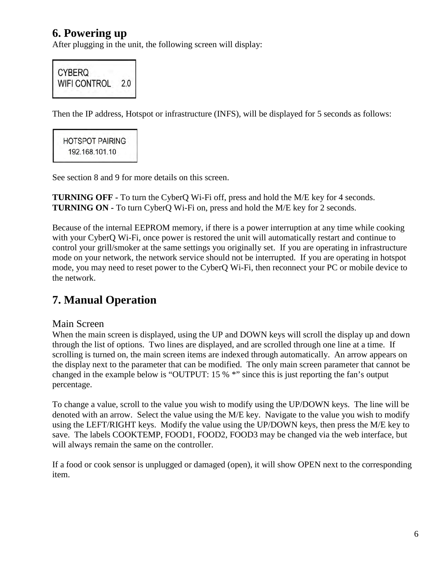## <span id="page-5-0"></span>**6. Powering up**

After plugging in the unit, the following screen will display:



Then the IP address, Hotspot or infrastructure (INFS), will be displayed for 5 seconds as follows:

**HOTSPOT PAIRING** 192.168.101.10

See section 8 and 9 for more details on this screen.

**TURNING OFF -** To turn the CyberQ Wi-Fi off, press and hold the M/E key for 4 seconds. **TURNING ON -** To turn CyberQ Wi-Fi on, press and hold the M/E key for 2 seconds.

Because of the internal EEPROM memory, if there is a power interruption at any time while cooking with your CyberQ Wi-Fi, once power is restored the unit will automatically restart and continue to control your grill/smoker at the same settings you originally set. If you are operating in infrastructure mode on your network, the network service should not be interrupted. If you are operating in hotspot mode, you may need to reset power to the CyberQ Wi-Fi, then reconnect your PC or mobile device to the network.

# <span id="page-5-1"></span>**7. Manual Operation**

### Main Screen

When the main screen is displayed, using the UP and DOWN keys will scroll the display up and down through the list of options. Two lines are displayed, and are scrolled through one line at a time. If scrolling is turned on, the main screen items are indexed through automatically. An arrow appears on the display next to the parameter that can be modified. The only main screen parameter that cannot be changed in the example below is "OUTPUT: 15 % \*" since this is just reporting the fan's output percentage.

To change a value, scroll to the value you wish to modify using the UP/DOWN keys. The line will be denoted with an arrow. Select the value using the M/E key. Navigate to the value you wish to modify using the LEFT/RIGHT keys. Modify the value using the UP/DOWN keys, then press the M/E key to save. The labels COOKTEMP, FOOD1, FOOD2, FOOD3 may be changed via the web interface, but will always remain the same on the controller.

If a food or cook sensor is unplugged or damaged (open), it will show OPEN next to the corresponding item.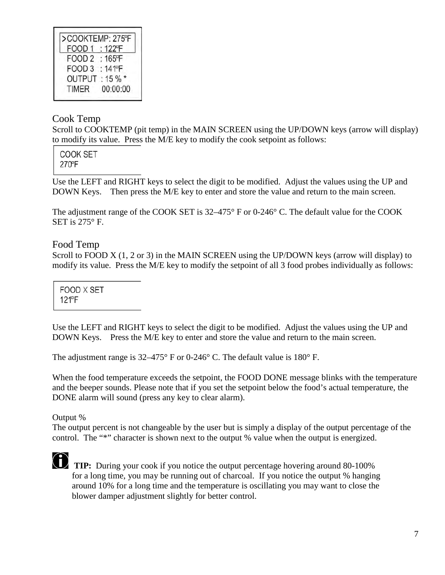| >COOKTEMP: 275°F         |
|--------------------------|
| FOOD 1 : 122°F           |
| FOOD 2 : 165°F           |
| FOOD 3 : 141 PF          |
| OUTPUT: 15 %*            |
| 00:00:00<br><b>TIMER</b> |
|                          |

### Cook Temp

Scroll to COOKTEMP (pit temp) in the MAIN SCREEN using the UP/DOWN keys (arrow will display) to modify its value. Press the M/E key to modify the cook setpoint as follows:

COOK SET 270°F

Use the LEFT and RIGHT keys to select the digit to be modified. Adjust the values using the UP and DOWN Keys. Then press the M/E key to enter and store the value and return to the main screen.

The adjustment range of the COOK SET is 32–475° F or 0-246° C. The default value for the COOK SET is 275° F.

### Food Temp

Scroll to FOOD X (1, 2 or 3) in the MAIN SCREEN using the UP/DOWN keys (arrow will display) to modify its value. Press the M/E key to modify the setpoint of all 3 food probes individually as follows:

FOOD X SET 121<sup>P</sup>F

Use the LEFT and RIGHT keys to select the digit to be modified. Adjust the values using the UP and DOWN Keys. Press the M/E key to enter and store the value and return to the main screen.

The adjustment range is  $32-475^{\circ}$  F or 0-246° C. The default value is 180° F.

When the food temperature exceeds the setpoint, the FOOD DONE message blinks with the temperature and the beeper sounds. Please note that if you set the setpoint below the food's actual temperature, the DONE alarm will sound (press any key to clear alarm).

Output %

The output percent is not changeable by the user but is simply a display of the output percentage of the control. The "\*" character is shown next to the output % value when the output is energized.

**TIP:** During your cook if you notice the output percentage hovering around 80-100% for a long time, you may be running out of charcoal. If you notice the output % hanging around 10% for a long time and the temperature is oscillating you may want to close the blower damper adjustment slightly for better control.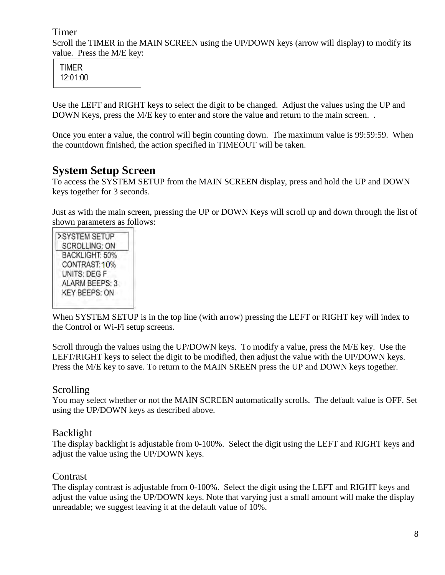### Timer

Scroll the TIMER in the MAIN SCREEN using the UP/DOWN keys (arrow will display) to modify its value. Press the M/E key:

**TIMER** 12:01:00

Use the LEFT and RIGHT keys to select the digit to be changed. Adjust the values using the UP and DOWN Keys, press the M/E key to enter and store the value and return to the main screen...

Once you enter a value, the control will begin counting down. The maximum value is 99:59:59. When the countdown finished, the action specified in TIMEOUT will be taken.

### **System Setup Screen**

To access the SYSTEM SETUP from the MAIN SCREEN display, press and hold the UP and DOWN keys together for 3 seconds.

Just as with the main screen, pressing the UP or DOWN Keys will scroll up and down through the list of shown parameters as follows:

| >SYSTEM SETUP         |
|-----------------------|
| <b>SCROLLING: ON</b>  |
| BACKLIGHT: 50%        |
| CONTRAST: 10%         |
| UNITS: DEG F          |
| <b>ALARM BEEPS: 3</b> |
| <b>KEY BEEPS: ON</b>  |

When SYSTEM SETUP is in the top line (with arrow) pressing the LEFT or RIGHT key will index to the Control or Wi-Fi setup screens.

Scroll through the values using the UP/DOWN keys. To modify a value, press the M/E key. Use the LEFT/RIGHT keys to select the digit to be modified, then adjust the value with the UP/DOWN keys. Press the M/E key to save. To return to the MAIN SREEN press the UP and DOWN keys together.

### Scrolling

You may select whether or not the MAIN SCREEN automatically scrolls. The default value is OFF. Set using the UP/DOWN keys as described above.

### Backlight

The display backlight is adjustable from 0-100%. Select the digit using the LEFT and RIGHT keys and adjust the value using the UP/DOWN keys.

### **Contrast**

The display contrast is adjustable from 0-100%. Select the digit using the LEFT and RIGHT keys and adjust the value using the UP/DOWN keys. Note that varying just a small amount will make the display unreadable; we suggest leaving it at the default value of 10%.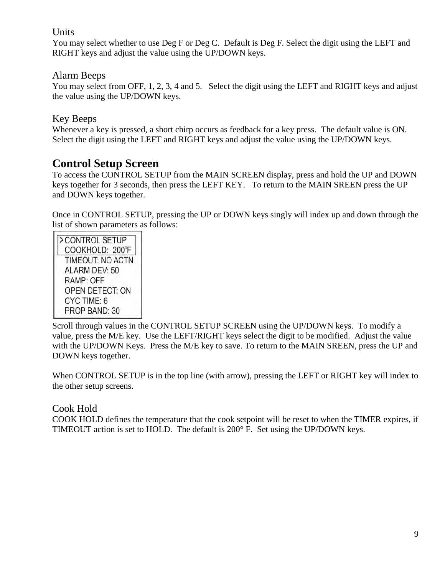### Units

You may select whether to use Deg F or Deg C. Default is Deg F. Select the digit using the LEFT and RIGHT keys and adjust the value using the UP/DOWN keys.

### Alarm Beeps

You may select from OFF, 1, 2, 3, 4 and 5. Select the digit using the LEFT and RIGHT keys and adjust the value using the UP/DOWN keys.

### Key Beeps

Whenever a key is pressed, a short chirp occurs as feedback for a key press. The default value is ON. Select the digit using the LEFT and RIGHT keys and adjust the value using the UP/DOWN keys.

## **Control Setup Screen**

To access the CONTROL SETUP from the MAIN SCREEN display, press and hold the UP and DOWN keys together for 3 seconds, then press the LEFT KEY. To return to the MAIN SREEN press the UP and DOWN keys together.

Once in CONTROL SETUP, pressing the UP or DOWN keys singly will index up and down through the list of shown parameters as follows:

| >CONTROL SETUP   |
|------------------|
| COOKHOLD: 200°F  |
| TIMEOUT: NO ACTN |
| ALARM DEV: 50    |
| RAMP: OFF        |
| OPEN DETECT: ON  |
| CYC TIME: 6      |
| PROP BAND: 30    |

Scroll through values in the CONTROL SETUP SCREEN using the UP/DOWN keys. To modify a value, press the M/E key. Use the LEFT/RIGHT keys select the digit to be modified. Adjust the value with the UP/DOWN Keys. Press the M/E key to save. To return to the MAIN SREEN, press the UP and DOWN keys together.

When CONTROL SETUP is in the top line (with arrow), pressing the LEFT or RIGHT key will index to the other setup screens.

### Cook Hold

COOK HOLD defines the temperature that the cook setpoint will be reset to when the TIMER expires, if TIMEOUT action is set to HOLD. The default is 200° F. Set using the UP/DOWN keys.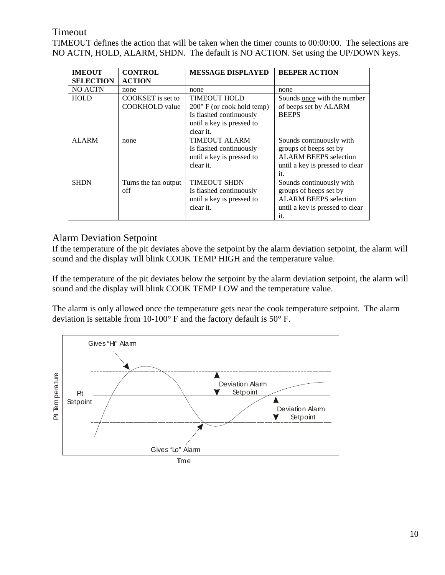### Timeout

TIMEOUT defines the action that will be taken when the timer counts to 00:00:00. The selections are NO ACTN, HOLD, ALARM, SHDN. The default is NO ACTION. Set using the UP/DOWN keys.

| <b>IMEOUT</b>    | <b>CONTROL</b>        | <b>MESSAGE DISPLAYED</b>            | <b>BEEPER ACTION</b>            |
|------------------|-----------------------|-------------------------------------|---------------------------------|
| <b>SELECTION</b> | <b>ACTION</b>         |                                     |                                 |
| <b>NO ACTN</b>   | none                  | none                                | none                            |
| <b>HOLD</b>      | COOKSET is set to     | <b>TIMEOUT HOLD</b>                 | Sounds once with the number     |
|                  | <b>COOKHOLD</b> value | $200^{\circ}$ F (or cook hold temp) | of beeps set by ALARM           |
|                  |                       | Is flashed continuously             | <b>BEEPS</b>                    |
|                  |                       | until a key is pressed to           |                                 |
|                  |                       | clear it.                           |                                 |
| <b>ALARM</b>     | none                  | <b>TIMEOUT ALARM</b>                | Sounds continuously with        |
|                  |                       | Is flashed continuously             | groups of beeps set by          |
|                  |                       | until a key is pressed to           | <b>ALARM BEEPS</b> selection    |
|                  |                       | clear it.                           | until a key is pressed to clear |
|                  |                       |                                     | it.                             |
| <b>SHDN</b>      | Turns the fan output  | <b>TIMEOUT SHDN</b>                 | Sounds continuously with        |
|                  | off                   | Is flashed continuously             | groups of beeps set by          |
|                  |                       | until a key is pressed to           | <b>ALARM BEEPS</b> selection    |
|                  |                       | clear it.                           | until a key is pressed to clear |
|                  |                       |                                     | it.                             |

### Alarm Deviation Setpoint

If the temperature of the pit deviates above the setpoint by the alarm deviation setpoint, the alarm will sound and the display will blink COOK TEMP HIGH and the temperature value.

If the temperature of the pit deviates below the setpoint by the alarm deviation setpoint, the alarm will sound and the display will blink COOK TEMP LOW and the temperature value.

The alarm is only allowed once the temperature gets near the cook temperature setpoint. The alarm deviation is settable from 10-100° F and the factory default is 50° F.

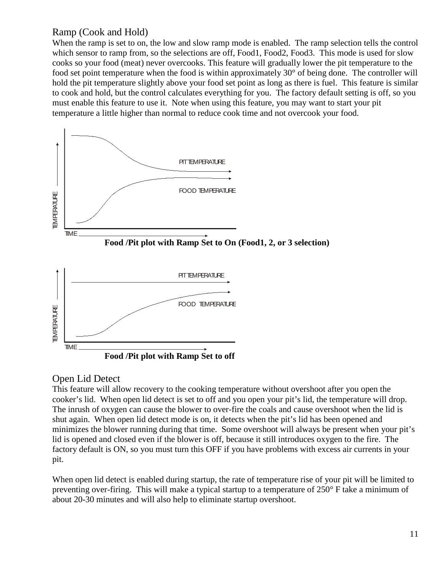### Ramp (Cook and Hold)

When the ramp is set to on, the low and slow ramp mode is enabled. The ramp selection tells the control which sensor to ramp from, so the selections are off, Food1, Food2, Food3. This mode is used for slow cooks so your food (meat) never overcooks. This feature will gradually lower the pit temperature to the food set point temperature when the food is within approximately 30° of being done. The controller will hold the pit temperature slightly above your food set point as long as there is fuel. This feature is similar to cook and hold, but the control calculates everything for you. The factory default setting is off, so you must enable this feature to use it. Note when using this feature, you may want to start your pit temperature a little higher than normal to reduce cook time and not overcook your food.



### **Food /Pit plot with Ramp Set to off**

### Open Lid Detect

This feature will allow recovery to the cooking temperature without overshoot after you open the cooker's lid. When open lid detect is set to off and you open your pit's lid, the temperature will drop. The inrush of oxygen can cause the blower to over-fire the coals and cause overshoot when the lid is shut again. When open lid detect mode is on, it detects when the pit's lid has been opened and minimizes the blower running during that time. Some overshoot will always be present when your pit's lid is opened and closed even if the blower is off, because it still introduces oxygen to the fire. The factory default is ON, so you must turn this OFF if you have problems with excess air currents in your pit.

When open lid detect is enabled during startup, the rate of temperature rise of your pit will be limited to preventing over-firing. This will make a typical startup to a temperature of 250° F take a minimum of about 20-30 minutes and will also help to eliminate startup overshoot.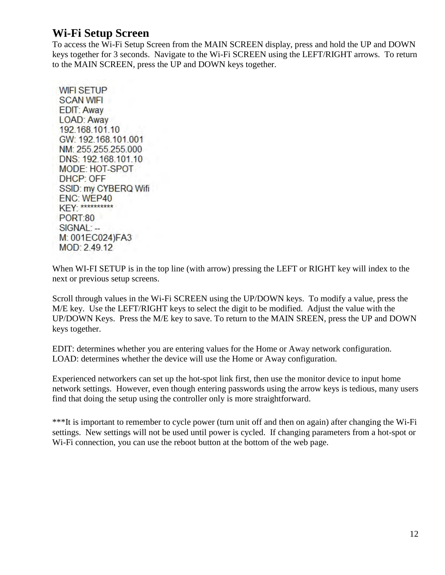### **Wi-Fi Setup Screen**

To access the Wi-Fi Setup Screen from the MAIN SCREEN display, press and hold the UP and DOWN keys together for 3 seconds. Navigate to the Wi-Fi SCREEN using the LEFT/RIGHT arrows. To return to the MAIN SCREEN, press the UP and DOWN keys together.

**WIFI SETUP SCAN WIFI EDIT: Away** LOAD: Away 192.168.101.10 GW: 192.168.101.001 NM: 255.255.255.000 DNS: 192.168.101.10 MODE: HOT-SPOT DHCP: OFF SSID: my CYBERQ Wifi ENC: WEP40 KEY-\*\*\*\*\*\*\*\*\*\* **PORT:80** SIGNAL: --M: 001EC024)FA3 MOD: 2.49.12

When WI-FI SETUP is in the top line (with arrow) pressing the LEFT or RIGHT key will index to the next or previous setup screens.

Scroll through values in the Wi-Fi SCREEN using the UP/DOWN keys. To modify a value, press the M/E key. Use the LEFT/RIGHT keys to select the digit to be modified. Adjust the value with the UP/DOWN Keys. Press the M/E key to save. To return to the MAIN SREEN, press the UP and DOWN keys together.

EDIT: determines whether you are entering values for the Home or Away network configuration. LOAD: determines whether the device will use the Home or Away configuration.

Experienced networkers can set up the hot-spot link first, then use the monitor device to input home network settings. However, even though entering passwords using the arrow keys is tedious, many users find that doing the setup using the controller only is more straightforward.

\*\*\*It is important to remember to cycle power (turn unit off and then on again) after changing the Wi-Fi settings. New settings will not be used until power is cycled. If changing parameters from a hot-spot or Wi-Fi connection, you can use the reboot button at the bottom of the web page.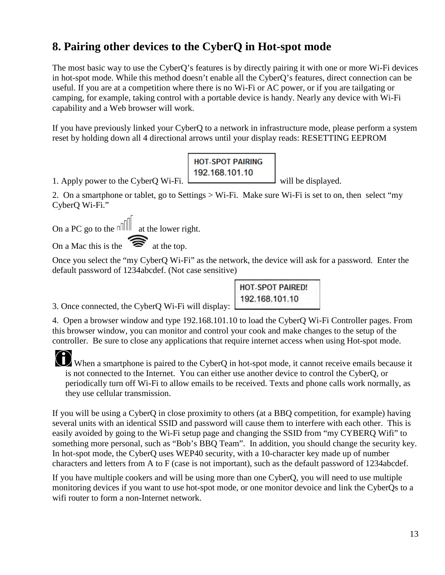# <span id="page-12-0"></span>**8. Pairing other devices to the CyberQ in Hot-spot mode**

The most basic way to use the CyberQ's features is by directly pairing it with one or more Wi-Fi devices in hot-spot mode. While this method doesn't enable all the CyberQ's features, direct connection can be useful. If you are at a competition where there is no Wi-Fi or AC power, or if you are tailgating or camping, for example, taking control with a portable device is handy. Nearly any device with Wi-Fi capability and a Web browser will work.

If you have previously linked your CyberQ to a network in infrastructure mode, please perform a system reset by holding down all 4 directional arrows until your display reads: RESETTING EEPROM

| <b>HOT-SPOT PAIRING</b> |  |
|-------------------------|--|
| 192.168.101.10          |  |

1. Apply power to the CyberO Wi-Fi.  $\Box$ 

2. On a smartphone or tablet, go to Settings > Wi-Fi. Make sure Wi-Fi is set to on, then select "my CyberQ Wi-Fi."

On a PC go to the  $n$  at the lower right.

On a Mac this is the  $\widehat{\mathcal{R}}$  at the top.

Once you select the "my CyberQ Wi-Fi" as the network, the device will ask for a password. Enter the default password of 1234abcdef. (Not case sensitive)

> **HOT-SPOT PAIRED!** 192,168,101.10

3. Once connected, the CyberQ Wi-Fi will display:

4. Open a browser window and type 192.168.101.10 to load the CyberQ Wi-Fi Controller pages. From this browser window, you can monitor and control your cook and make changes to the setup of the controller. Be sure to close any applications that require internet access when using Hot-spot mode.

When a smartphone is paired to the CyberQ in hot-spot mode, it cannot receive emails because it is not connected to the Internet. You can either use another device to control the CyberQ, or periodically turn off Wi-Fi to allow emails to be received. Texts and phone calls work normally, as they use cellular transmission.

If you will be using a CyberQ in close proximity to others (at a BBQ competition, for example) having several units with an identical SSID and password will cause them to interfere with each other. This is easily avoided by going to the Wi-Fi setup page and changing the SSID from "my CYBERQ Wifi" to something more personal, such as "Bob's BBQ Team". In addition, you should change the security key. In hot-spot mode, the CyberQ uses WEP40 security, with a 10-character key made up of number characters and letters from A to F (case is not important), such as the default password of 1234abcdef.

If you have multiple cookers and will be using more than one CyberQ, you will need to use multiple monitoring devices if you want to use hot-spot mode, or one monitor devoice and link the CyberQs to a wifi router to form a non-Internet network.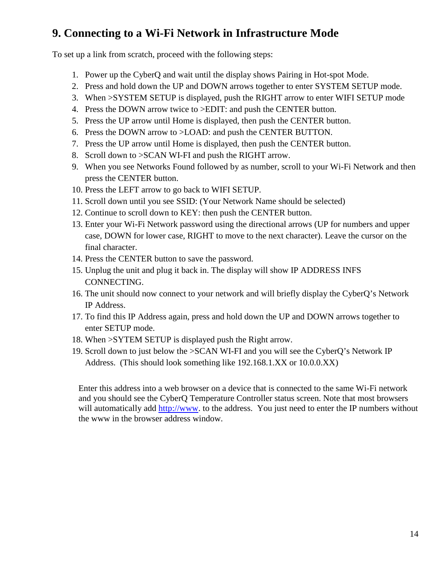# <span id="page-13-0"></span>**9. Connecting to a Wi-Fi Network in Infrastructure Mode**

To set up a link from scratch, proceed with the following steps:

- 1. Power up the CyberQ and wait until the display shows Pairing in Hot-spot Mode.
- 2. Press and hold down the UP and DOWN arrows together to enter SYSTEM SETUP mode.
- 3. When >SYSTEM SETUP is displayed, push the RIGHT arrow to enter WIFI SETUP mode
- 4. Press the DOWN arrow twice to >EDIT: and push the CENTER button.
- 5. Press the UP arrow until Home is displayed, then push the CENTER button.
- 6. Press the DOWN arrow to >LOAD: and push the CENTER BUTTON.
- 7. Press the UP arrow until Home is displayed, then push the CENTER button.
- 8. Scroll down to >SCAN WI-FI and push the RIGHT arrow.
- 9. When you see Networks Found followed by as number, scroll to your Wi-Fi Network and then press the CENTER button.
- 10. Press the LEFT arrow to go back to WIFI SETUP.
- 11. Scroll down until you see SSID: (Your Network Name should be selected)
- 12. Continue to scroll down to KEY: then push the CENTER button.
- 13. Enter your Wi-Fi Network password using the directional arrows (UP for numbers and upper case, DOWN for lower case, RIGHT to move to the next character). Leave the cursor on the final character.
- 14. Press the CENTER button to save the password.
- 15. Unplug the unit and plug it back in. The display will show IP ADDRESS INFS CONNECTING.
- 16. The unit should now connect to your network and will briefly display the CyberQ's Network IP Address.
- 17. To find this IP Address again, press and hold down the UP and DOWN arrows together to enter SETUP mode.
- 18. When >SYTEM SETUP is displayed push the Right arrow.
- 19. Scroll down to just below the >SCAN WI-FI and you will see the CyberQ's Network IP Address. (This should look something like 192.168.1.XX or 10.0.0.XX)

Enter this address into a web browser on a device that is connected to the same Wi-Fi network and you should see the CyberQ Temperature Controller status screen. Note that most browsers will automatically add [http://www.](http://www/) to the address. You just need to enter the IP numbers without the www in the browser address window.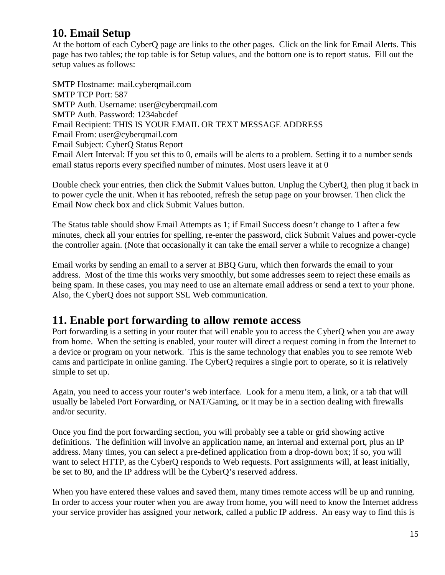# <span id="page-14-0"></span>**10. Email Setup**

At the bottom of each CyberQ page are links to the other pages. Click on the link for Email Alerts. This page has two tables; the top table is for Setup values, and the bottom one is to report status. Fill out the setup values as follows:

SMTP Hostname: mail.cyberqmail.com SMTP TCP Port: 587 SMTP Auth. Username: user@cyberqmail.com SMTP Auth. Password: 1234abcdef Email Recipient: THIS IS YOUR EMAIL OR TEXT MESSAGE ADDRESS Email From: user@cyberqmail.com Email Subject: CyberQ Status Report Email Alert Interval: If you set this to 0, emails will be alerts to a problem. Setting it to a number sends email status reports every specified number of minutes. Most users leave it at 0

Double check your entries, then click the Submit Values button. Unplug the CyberQ, then plug it back in to power cycle the unit. When it has rebooted, refresh the setup page on your browser. Then click the Email Now check box and click Submit Values button.

The Status table should show Email Attempts as 1; if Email Success doesn't change to 1 after a few minutes, check all your entries for spelling, re-enter the password, click Submit Values and power-cycle the controller again. (Note that occasionally it can take the email server a while to recognize a change)

Email works by sending an email to a server at BBQ Guru, which then forwards the email to your address. Most of the time this works very smoothly, but some addresses seem to reject these emails as being spam. In these cases, you may need to use an alternate email address or send a text to your phone. Also, the CyberQ does not support SSL Web communication.

### <span id="page-14-1"></span>**11. Enable port forwarding to allow remote access**

Port forwarding is a setting in your router that will enable you to access the CyberQ when you are away from home. When the setting is enabled, your router will direct a request coming in from the Internet to a device or program on your network. This is the same technology that enables you to see remote Web cams and participate in online gaming. The CyberQ requires a single port to operate, so it is relatively simple to set up.

Again, you need to access your router's web interface. Look for a menu item, a link, or a tab that will usually be labeled Port Forwarding, or NAT/Gaming, or it may be in a section dealing with firewalls and/or security.

Once you find the port forwarding section, you will probably see a table or grid showing active definitions. The definition will involve an application name, an internal and external port, plus an IP address. Many times, you can select a pre-defined application from a drop-down box; if so, you will want to select HTTP, as the CyberQ responds to Web requests. Port assignments will, at least initially, be set to 80, and the IP address will be the CyberQ's reserved address.

When you have entered these values and saved them, many times remote access will be up and running. In order to access your router when you are away from home, you will need to know the Internet address your service provider has assigned your network, called a public IP address. An easy way to find this is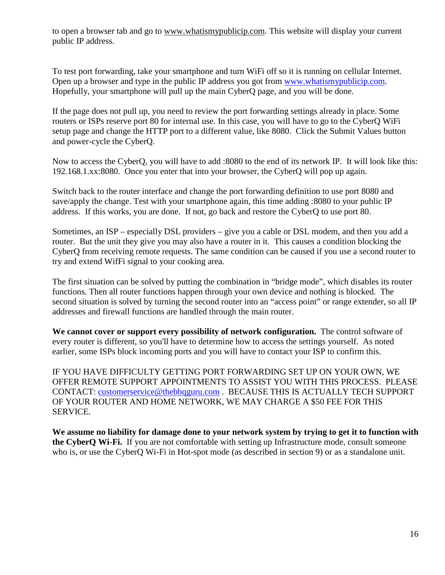to open a browser tab and go to [www.whatismypublicip.com.](http://www.whatismypublicip.com/) This website will display your current public IP address.

To test port forwarding, take your smartphone and turn WiFi off so it is running on cellular Internet. Open up a browser and type in the public IP address you got from [www.whatismypublicip.com.](http://www.whatismypublicip.com/) Hopefully, your smartphone will pull up the main CyberQ page, and you will be done.

If the page does not pull up, you need to review the port forwarding settings already in place. Some routers or ISPs reserve port 80 for internal use. In this case, you will have to go to the CyberQ WiFi setup page and change the HTTP port to a different value, like 8080. Click the Submit Values button and power-cycle the CyberQ.

Now to access the CyberQ, you will have to add :8080 to the end of its network IP. It will look like this: 192.168.1.xx:8080. Once you enter that into your browser, the CyberQ will pop up again.

Switch back to the router interface and change the port forwarding definition to use port 8080 and save/apply the change. Test with your smartphone again, this time adding :8080 to your public IP address. If this works, you are done. If not, go back and restore the CyberQ to use port 80.

Sometimes, an ISP – especially DSL providers – give you a cable or DSL modem, and then you add a router. But the unit they give you may also have a router in it. This causes a condition blocking the CyberQ from receiving remote requests. The same condition can be caused if you use a second router to try and extend WifFi signal to your cooking area.

The first situation can be solved by putting the combination in "bridge mode", which disables its router functions. Then all router functions happen through your own device and nothing is blocked. The second situation is solved by turning the second router into an "access point" or range extender, so all IP addresses and firewall functions are handled through the main router.

**We cannot cover or support every possibility of network configuration.** The control software of every router is different, so you'll have to determine how to access the settings yourself. As noted earlier, some ISPs block incoming ports and you will have to contact your ISP to confirm this.

IF YOU HAVE DIFFICULTY GETTING PORT FORWARDING SET UP ON YOUR OWN, WE OFFER REMOTE SUPPORT APPOINTMENTS TO ASSIST YOU WITH THIS PROCESS. PLEASE CONTACT: [customerservice@thebbqguru.com](mailto:customerservice@thebbqguru.com) . BECAUSE THIS IS ACTUALLY TECH SUPPORT OF YOUR ROUTER AND HOME NETWORK, WE MAY CHARGE A \$50 FEE FOR THIS SERVICE.

**We assume no liability for damage done to your network system by trying to get it to function with the CyberQ Wi-Fi.** If you are not comfortable with setting up Infrastructure mode, consult someone who is, or use the CyberQ Wi-Fi in Hot-spot mode (as described in section 9) or as a standalone unit.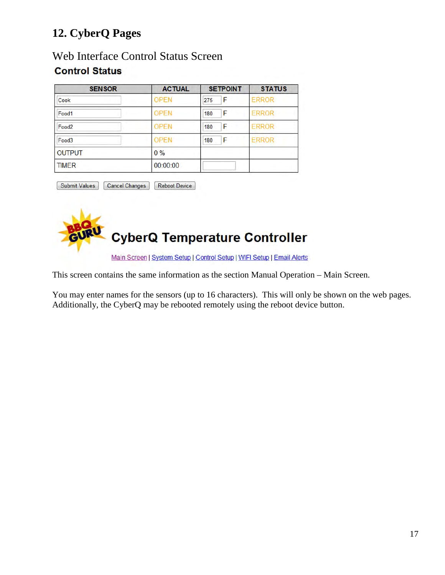# <span id="page-16-0"></span>**12. CyberQ Pages**

### Web Interface Control Status Screen **Control Status**

| <b>SENSOR</b>     | <b>ACTUAL</b> | <b>SETPOINT</b> | <b>STATUS</b> |
|-------------------|---------------|-----------------|---------------|
| Cook              | <b>OPEN</b>   | F<br>275        | <b>ERROR</b>  |
| Food1             | <b>OPEN</b>   | F<br>180        | <b>ERROR</b>  |
| Food <sub>2</sub> | <b>OPEN</b>   | F<br>180        | <b>ERROR</b>  |
| Food3             | <b>OPEN</b>   | F<br>180        | <b>ERROR</b>  |
| <b>OUTPUT</b>     | $0\%$         |                 |               |
| <b>TIMER</b>      | 00:00:00      |                 |               |

Submit Values Cancel Changes Reboot Device



Main Screen | System Setup | Control Setup | WIFI Setup | Email Alerts

This screen contains the same information as the section Manual Operation – Main Screen.

You may enter names for the sensors (up to 16 characters). This will only be shown on the web pages. Additionally, the CyberQ may be rebooted remotely using the reboot device button.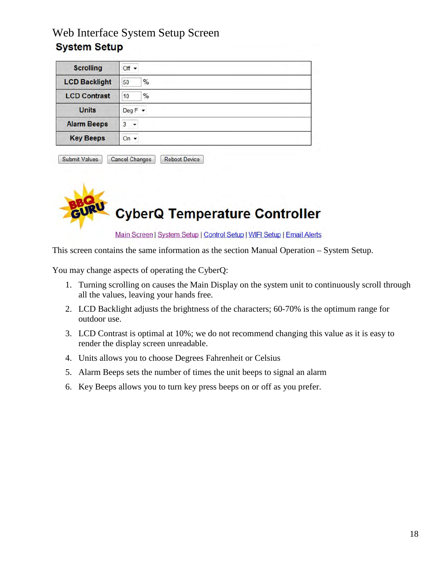# Web Interface System Setup Screen **System Setup**

| <b>Scrolling</b>     | $Off -$    |
|----------------------|------------|
| <b>LCD Backlight</b> | $\%$<br>50 |
| <b>LCD Contrast</b>  | $\%$<br>10 |
| <b>Units</b>         | $DegF -$   |
| <b>Alarm Beeps</b>   | 3          |
| <b>Key Beeps</b>     | On $\star$ |

| <b>Submit Values</b> | <b>Cancel Changes</b> | Reboot Device |
|----------------------|-----------------------|---------------|



Main Screen | System Setup | Control Setup | WIFI Setup | Email Alerts

This screen contains the same information as the section Manual Operation – System Setup.

You may change aspects of operating the CyberQ:

- 1. Turning scrolling on causes the Main Display on the system unit to continuously scroll through all the values, leaving your hands free.
- 2. LCD Backlight adjusts the brightness of the characters; 60-70% is the optimum range for outdoor use.
- 3. LCD Contrast is optimal at 10%; we do not recommend changing this value as it is easy to render the display screen unreadable.
- 4. Units allows you to choose Degrees Fahrenheit or Celsius
- 5. Alarm Beeps sets the number of times the unit beeps to signal an alarm
- 6. Key Beeps allows you to turn key press beeps on or off as you prefer.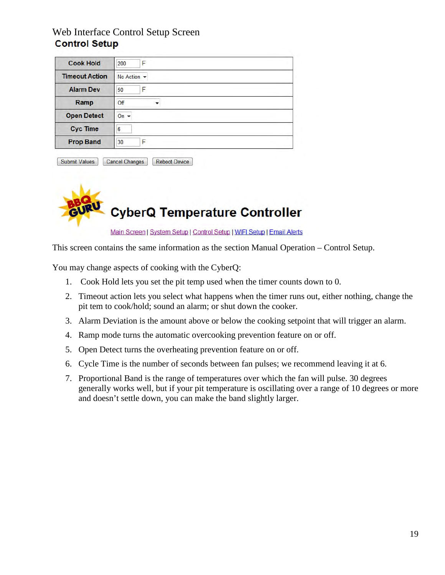### Web Interface Control Setup Screen **Control Setup**

| <b>Cook Hold</b>      | 200<br>F          |
|-----------------------|-------------------|
| <b>Timeout Action</b> | No Action $\star$ |
| <b>Alarm Dev</b>      | F<br>50           |
| Ramp                  | Off               |
| <b>Open Detect</b>    | On $\sim$         |
| <b>Cyc Time</b>       | 6                 |
| <b>Prop Band</b>      | 30                |

| <b>Submit Values</b> | <b>Cancel Changes</b> | <b>Reboot Device</b> |
|----------------------|-----------------------|----------------------|



Main Screen | System Setup | Control Setup | WIFI Setup | Email Alerts

This screen contains the same information as the section Manual Operation – Control Setup.

You may change aspects of cooking with the CyberQ:

- 1. Cook Hold lets you set the pit temp used when the timer counts down to 0.
- 2. Timeout action lets you select what happens when the timer runs out, either nothing, change the pit tem to cook/hold; sound an alarm; or shut down the cooker.
- 3. Alarm Deviation is the amount above or below the cooking setpoint that will trigger an alarm.
- 4. Ramp mode turns the automatic overcooking prevention feature on or off.
- 5. Open Detect turns the overheating prevention feature on or off.
- 6. Cycle Time is the number of seconds between fan pulses; we recommend leaving it at 6.
- 7. Proportional Band is the range of temperatures over which the fan will pulse. 30 degrees generally works well, but if your pit temperature is oscillating over a range of 10 degrees or more and doesn't settle down, you can make the band slightly larger.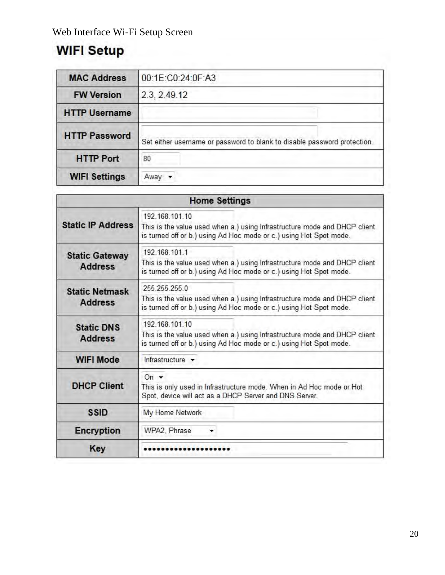# **WIFI Setup**

| <b>MAC Address</b>   | 00:1E:C0:24:0F:A3                                                        |
|----------------------|--------------------------------------------------------------------------|
| <b>FW Version</b>    | 2.3, 2.49.12                                                             |
| <b>HTTP Username</b> |                                                                          |
| <b>HTTP Password</b> | Set either username or password to blank to disable password protection. |
| <b>HTTP Port</b>     | 80                                                                       |
| <b>WIFI Settings</b> | Away                                                                     |

| <b>Home Settings</b>                    |                                                                                                                                                                   |  |  |  |
|-----------------------------------------|-------------------------------------------------------------------------------------------------------------------------------------------------------------------|--|--|--|
| <b>Static IP Address</b>                | 192.168.101.10<br>This is the value used when a.) using Infrastructure mode and DHCP client<br>is turned off or b.) using Ad Hoc mode or c.) using Hot Spot mode. |  |  |  |
| <b>Static Gateway</b><br><b>Address</b> | 192.168.101.1<br>This is the value used when a.) using Infrastructure mode and DHCP client<br>is turned off or b.) using Ad Hoc mode or c.) using Hot Spot mode.  |  |  |  |
| <b>Static Netmask</b><br><b>Address</b> | 255 255 255 0<br>This is the value used when a.) using Infrastructure mode and DHCP client<br>is turned off or b.) using Ad Hoc mode or c.) using Hot Spot mode.  |  |  |  |
| <b>Static DNS</b><br><b>Address</b>     | 192.168.101.10<br>This is the value used when a.) using Infrastructure mode and DHCP client<br>is turned off or b.) using Ad Hoc mode or c.) using Hot Spot mode. |  |  |  |
| <b>WIFI Mode</b>                        | Infrastructure v                                                                                                                                                  |  |  |  |
| <b>DHCP Client</b>                      | On $\sim$<br>This is only used in Infrastructure mode. When in Ad Hoc mode or Hot<br>Spot, device will act as a DHCP Server and DNS Server.                       |  |  |  |
| <b>SSID</b>                             | My Home Network                                                                                                                                                   |  |  |  |
| <b>Encryption</b>                       | WPA2, Phrase                                                                                                                                                      |  |  |  |
| <b>Key</b>                              |                                                                                                                                                                   |  |  |  |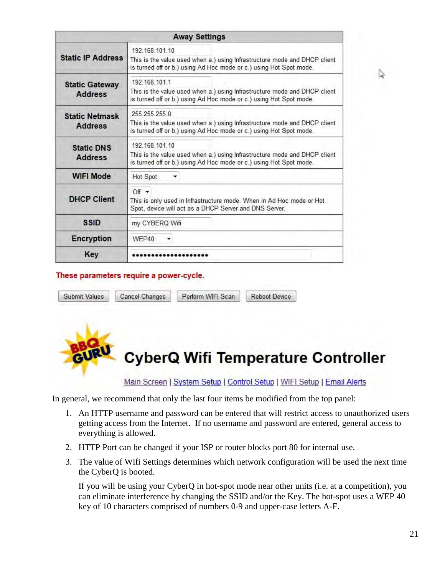| <b>Away Settings</b>                    |                                                                                                                                                                   |  |  |  |
|-----------------------------------------|-------------------------------------------------------------------------------------------------------------------------------------------------------------------|--|--|--|
| <b>Static IP Address</b>                | 192 168 101 10<br>This is the value used when a.) using Infrastructure mode and DHCP client<br>is turned off or b.) using Ad Hoc mode or c.) using Hot Spot mode. |  |  |  |
| <b>Static Gateway</b><br><b>Address</b> | 192 168 101 1<br>This is the value used when a.) using Infrastructure mode and DHCP client<br>is turned off or b.) using Ad Hoc mode or c.) using Hot Spot mode.  |  |  |  |
| <b>Static Netmask</b><br><b>Address</b> | 255 255 255 0<br>This is the value used when a.) using Infrastructure mode and DHCP client<br>is turned off or b.) using Ad Hoc mode or c.) using Hot Spot mode.  |  |  |  |
| <b>Static DNS</b><br><b>Address</b>     | 192.168.101.10<br>This is the value used when a.) using Infrastructure mode and DHCP client<br>is turned off or b.) using Ad Hoc mode or c.) using Hot Spot mode. |  |  |  |
| <b>WIFI Mode</b>                        | Hot Spot                                                                                                                                                          |  |  |  |
| <b>DHCP Client</b>                      | $Off -$<br>This is only used in Infrastructure mode. When in Ad Hoc mode or Hot<br>Spot, device will act as a DHCP Server and DNS Server.                         |  |  |  |
| <b>SSID</b>                             | my CYBERQ Wifi                                                                                                                                                    |  |  |  |
| <b>Encryption</b>                       | WEP40<br>▼                                                                                                                                                        |  |  |  |
| Key                                     |                                                                                                                                                                   |  |  |  |

#### These parameters require a power-cycle.

|  | Submit Values   Cancel Changes   Perform WIFI Scan   Reboot Device |  |
|--|--------------------------------------------------------------------|--|
|  |                                                                    |  |



In general, we recommend that only the last four items be modified from the top panel:

- 1. An HTTP username and password can be entered that will restrict access to unauthorized users getting access from the Internet. If no username and password are entered, general access to everything is allowed.
- 2. HTTP Port can be changed if your ISP or router blocks port 80 for internal use.
- 3. The value of Wifi Settings determines which network configuration will be used the next time the CyberQ is booted.

If you will be using your CyberQ in hot-spot mode near other units (i.e. at a competition), you can eliminate interference by changing the SSID and/or the Key. The hot-spot uses a WEP 40 key of 10 characters comprised of numbers 0-9 and upper-case letters A-F.

 $\mathbb{Z}$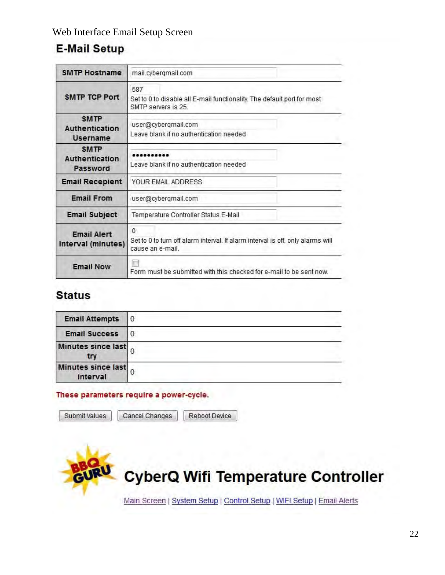# **E-Mail Setup**

| <b>SMTP Hostname</b>                                    | mail.cybergmail.com                                                                                             |  |
|---------------------------------------------------------|-----------------------------------------------------------------------------------------------------------------|--|
| <b>SMTP TCP Port</b>                                    | 587<br>Set to 0 to disable all E-mail functionality. The default port for most<br>SMTP servers is 25.           |  |
| <b>SMTP</b><br><b>Authentication</b><br><b>Username</b> | user@cyberqmail.com<br>Leave blank if no authentication needed                                                  |  |
| <b>SMTP</b><br>Authentication<br>Password               | <br>Leave blank if no authentication needed                                                                     |  |
| <b>Email Recepient</b>                                  | YOUR EMAIL ADDRESS                                                                                              |  |
| <b>Email From</b>                                       | user@cyberqmail.com                                                                                             |  |
| <b>Email Subject</b>                                    | Temperature Controller Status E-Mail                                                                            |  |
| <b>Email Alert</b><br>Interval (minutes)                | $\Omega$<br>Set to 0 to turn off alarm interval. If alarm interval is off, only alarms will<br>cause an e-mail. |  |
| <b>Email Now</b>                                        | Form must be submitted with this checked for e-mail to be sent now.                                             |  |

# **Status**

| <b>Email Attempts</b>            | O |  |
|----------------------------------|---|--|
| <b>Email Success</b>             | υ |  |
| <b>Minutes since last</b><br>try |   |  |
| Minutes since last<br>interval   |   |  |

### These parameters require a power-cycle.

Submit Values

Cancel Changes

Reboot Device

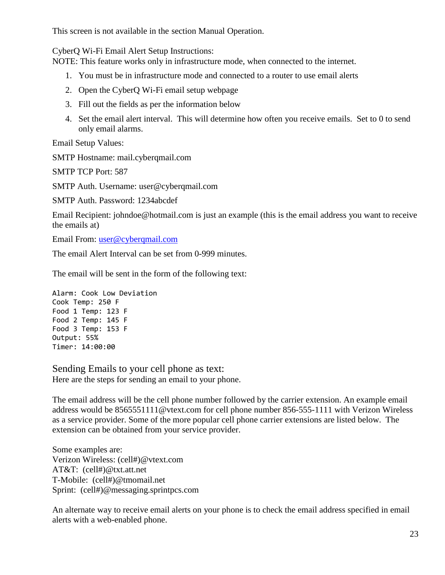This screen is not available in the section Manual Operation.

CyberQ Wi-Fi Email Alert Setup Instructions:

NOTE: This feature works only in infrastructure mode, when connected to the internet.

- 1. You must be in infrastructure mode and connected to a router to use email alerts
- 2. Open the CyberQ Wi-Fi email setup webpage
- 3. Fill out the fields as per the information below
- 4. Set the email alert interval. This will determine how often you receive emails. Set to 0 to send only email alarms.

Email Setup Values:

SMTP Hostname: mail.cyberqmail.com

SMTP TCP Port: 587

SMTP Auth. Username: user@cyberqmail.com

SMTP Auth. Password: 1234abcdef

Email Recipient: johndoe@hotmail.com is just an example (this is the email address you want to receive the emails at)

Email From: [user@cyberqmail.com](mailto:user@cyberqmail.com) 

The email Alert Interval can be set from 0-999 minutes.

The email will be sent in the form of the following text:

Alarm: Cook Low Deviation Cook Temp: 250 F Food 1 Temp: 123 F Food 2 Temp: 145 F Food 3 Temp: 153 F Output: 55% Timer: 14:00:00

Sending Emails to your cell phone as text: Here are the steps for sending an email to your phone.

The email address will be the cell phone number followed by the carrier extension. An example email address would be 8565551111@vtext.com for cell phone number 856-555-1111 with Verizon Wireless as a service provider. Some of the more popular cell phone carrier extensions are listed below. The extension can be obtained from your service provider.

Some examples are: Verizon Wireless: (cell#)@vtext.com AT&T: (cell#)@txt.att.net T-Mobile: (cell#)@tmomail.net Sprint: (cell#)@messaging.sprintpcs.com

An alternate way to receive email alerts on your phone is to check the email address specified in email alerts with a web-enabled phone.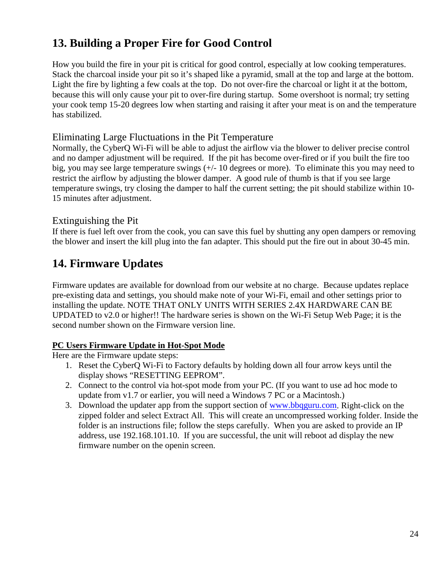# <span id="page-23-0"></span>**13. Building a Proper Fire for Good Control**

How you build the fire in your pit is critical for good control, especially at low cooking temperatures. Stack the charcoal inside your pit so it's shaped like a pyramid, small at the top and large at the bottom. Light the fire by lighting a few coals at the top. Do not over-fire the charcoal or light it at the bottom, because this will only cause your pit to over-fire during startup. Some overshoot is normal; try setting your cook temp 15-20 degrees low when starting and raising it after your meat is on and the temperature has stabilized.

### Eliminating Large Fluctuations in the Pit Temperature

Normally, the CyberQ Wi-Fi will be able to adjust the airflow via the blower to deliver precise control and no damper adjustment will be required. If the pit has become over-fired or if you built the fire too big, you may see large temperature swings (+/- 10 degrees or more). To eliminate this you may need to restrict the airflow by adjusting the blower damper. A good rule of thumb is that if you see large temperature swings, try closing the damper to half the current setting; the pit should stabilize within 10- 15 minutes after adjustment.

### Extinguishing the Pit

If there is fuel left over from the cook, you can save this fuel by shutting any open dampers or removing the blower and insert the kill plug into the fan adapter. This should put the fire out in about 30-45 min.

# <span id="page-23-1"></span>**14. Firmware Updates**

Firmware updates are available for download from our website at no charge. Because updates replace pre-existing data and settings, you should make note of your Wi-Fi, email and other settings prior to installing the update. NOTE THAT ONLY UNITS WITH SERIES 2.4X HARDWARE CAN BE UPDATED to v2.0 or higher!! The hardware series is shown on the Wi-Fi Setup Web Page; it is the second number shown on the Firmware version line.

### **PC Users Firmware Update in Hot-Spot Mode**

Here are the Firmware update steps:

- 1. Reset the CyberQ Wi-Fi to Factory defaults by holding down all four arrow keys until the display shows "RESETTING EEPROM".
- 2. Connect to the control via hot-spot mode from your PC. (If you want to use ad hoc mode to update from v1.7 or earlier, you will need a Windows 7 PC or a Macintosh.)
- 3. Download the updater app from the support section of [www.bbqguru.com.](http://www.bbqguru.com/) Right-click on the zipped folder and select Extract All. This will create an uncompressed working folder. Inside the folder is an instructions file; follow the steps carefully. When you are asked to provide an IP address, use 192.168.101.10. If you are successful, the unit will reboot ad display the new firmware number on the openin screen.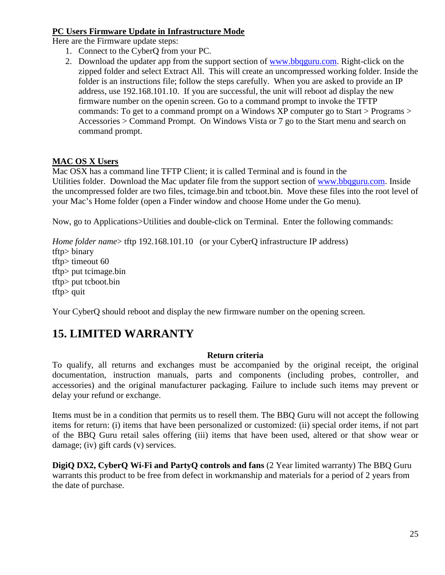### **PC Users Firmware Update in Infrastructure Mode**

Here are the Firmware update steps:

- 1. Connect to the CyberQ from your PC.
- 2. Download the updater app from the support section of [www.bbqguru.com.](http://www.bbqguru.com/) Right-click on the zipped folder and select Extract All. This will create an uncompressed working folder. Inside the folder is an instructions file; follow the steps carefully. When you are asked to provide an IP address, use 192.168.101.10. If you are successful, the unit will reboot ad display the new firmware number on the openin screen. Go to a command prompt to invoke the TFTP commands: To get to a command prompt on a Windows XP computer go to Start > Programs > Accessories > Command Prompt. On Windows Vista or 7 go to the Start menu and search on command prompt.

### **MAC OS X Users**

Mac OSX has a command line TFTP Client; it is called Terminal and is found in the Utilities folder. Download the Mac updater file from the support section of [www.bbqguru.com.](http://www.bbqguru.com/) Inside the uncompressed folder are two files, tcimage.bin and tcboot.bin. Move these files into the root level of your Mac's Home folder (open a Finder window and choose Home under the Go menu).

Now, go to Applications>Utilities and double-click on Terminal. Enter the following commands:

*Home folder name>* tftp 192.168.101.10 (or your CyberQ infrastructure IP address) tftp> binary tftp> timeout 60 tftp> put tcimage.bin tftp> put tcboot.bin tftp> quit

Your CyberQ should reboot and display the new firmware number on the opening screen.

# <span id="page-24-0"></span>**15. LIMITED WARRANTY**

### **Return criteria**

To qualify, all returns and exchanges must be accompanied by the original receipt, the original documentation, instruction manuals, parts and components (including probes, controller, and accessories) and the original manufacturer packaging. Failure to include such items may prevent or delay your refund or exchange.

Items must be in a condition that permits us to resell them. The BBQ Guru will not accept the following items for return: (i) items that have been personalized or customized: (ii) special order items, if not part of the BBQ Guru retail sales offering (iii) items that have been used, altered or that show wear or damage; (iv) gift cards (v) services.

**DigiQ DX2, CyberQ Wi-Fi and PartyQ controls and fans** (2 Year limited warranty) The BBQ Guru warrants this product to be free from defect in workmanship and materials for a period of 2 years from the date of purchase.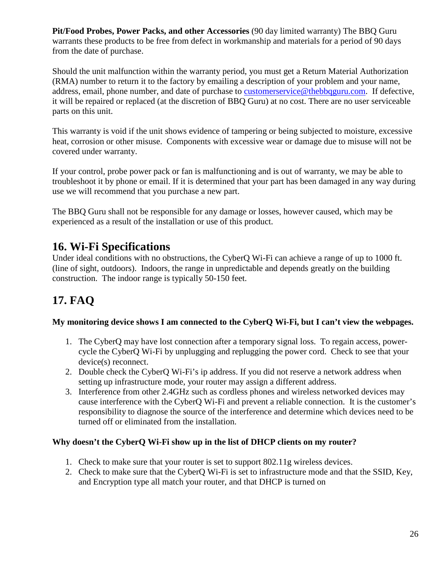**Pit/Food Probes, Power Packs, and other Accessories** (90 day limited warranty) The BBQ Guru warrants these products to be free from defect in workmanship and materials for a period of 90 days from the date of purchase.

Should the unit malfunction within the warranty period, you must get a Return Material Authorization (RMA) number to return it to the factory by emailing a description of your problem and your name, address, email, phone number, and date of purchase to [customerservice@thebbqguru.com.](mailto:customerservice@thebbqguru.com) If defective, it will be repaired or replaced (at the discretion of BBQ Guru) at no cost. There are no user serviceable parts on this unit.

This warranty is void if the unit shows evidence of tampering or being subjected to moisture, excessive heat, corrosion or other misuse. Components with excessive wear or damage due to misuse will not be covered under warranty.

If your control, probe power pack or fan is malfunctioning and is out of warranty, we may be able to troubleshoot it by phone or email. If it is determined that your part has been damaged in any way during use we will recommend that you purchase a new part.

The BBQ Guru shall not be responsible for any damage or losses, however caused, which may be experienced as a result of the installation or use of this product.

# <span id="page-25-0"></span>**16. Wi-Fi Specifications**

Under ideal conditions with no obstructions, the CyberQ Wi-Fi can achieve a range of up to 1000 ft. (line of sight, outdoors). Indoors, the range in unpredictable and depends greatly on the building construction. The indoor range is typically 50-150 feet.

# <span id="page-25-1"></span>**17. FAQ**

### **My monitoring device shows I am connected to the CyberQ Wi-Fi, but I can't view the webpages.**

- 1. The CyberQ may have lost connection after a temporary signal loss. To regain access, powercycle the CyberQ Wi-Fi by unplugging and replugging the power cord. Check to see that your device(s) reconnect.
- 2. Double check the CyberQ Wi-Fi's ip address. If you did not reserve a network address when setting up infrastructure mode, your router may assign a different address.
- 3. Interference from other 2.4GHz such as cordless phones and wireless networked devices may cause interference with the CyberQ Wi-Fi and prevent a reliable connection. It is the customer's responsibility to diagnose the source of the interference and determine which devices need to be turned off or eliminated from the installation.

### **Why doesn't the CyberQ Wi-Fi show up in the list of DHCP clients on my router?**

- 1. Check to make sure that your router is set to support 802.11g wireless devices.
- 2. Check to make sure that the CyberQ Wi-Fi is set to infrastructure mode and that the SSID, Key, and Encryption type all match your router, and that DHCP is turned on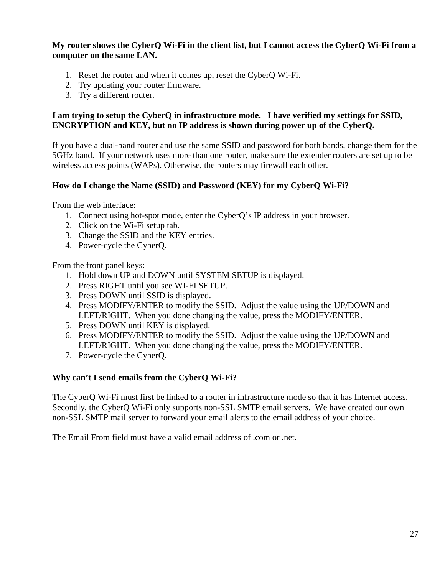### **My router shows the CyberQ Wi-Fi in the client list, but I cannot access the CyberQ Wi-Fi from a computer on the same LAN.**

- 1. Reset the router and when it comes up, reset the CyberQ Wi-Fi.
- 2. Try updating your router firmware.
- 3. Try a different router.

#### **I am trying to setup the CyberQ in infrastructure mode. I have verified my settings for SSID, ENCRYPTION and KEY, but no IP address is shown during power up of the CyberQ.**

If you have a dual-band router and use the same SSID and password for both bands, change them for the 5GHz band. If your network uses more than one router, make sure the extender routers are set up to be wireless access points (WAPs). Otherwise, the routers may firewall each other.

#### **How do I change the Name (SSID) and Password (KEY) for my CyberQ Wi-Fi?**

From the web interface:

- 1. Connect using hot-spot mode, enter the CyberQ's IP address in your browser.
- 2. Click on the Wi-Fi setup tab.
- 3. Change the SSID and the KEY entries.
- 4. Power-cycle the CyberQ.

From the front panel keys:

- 1. Hold down UP and DOWN until SYSTEM SETUP is displayed.
- 2. Press RIGHT until you see WI-FI SETUP.
- 3. Press DOWN until SSID is displayed.
- 4. Press MODIFY/ENTER to modify the SSID. Adjust the value using the UP/DOWN and LEFT/RIGHT. When you done changing the value, press the MODIFY/ENTER.
- 5. Press DOWN until KEY is displayed.
- 6. Press MODIFY/ENTER to modify the SSID. Adjust the value using the UP/DOWN and LEFT/RIGHT. When you done changing the value, press the MODIFY/ENTER.
- 7. Power-cycle the CyberQ.

### **Why can't I send emails from the CyberQ Wi-Fi?**

The CyberQ Wi-Fi must first be linked to a router in infrastructure mode so that it has Internet access. Secondly, the CyberQ Wi-Fi only supports non-SSL SMTP email servers. We have created our own non-SSL SMTP mail server to forward your email alerts to the email address of your choice.

The Email From field must have a valid email address of .com or .net.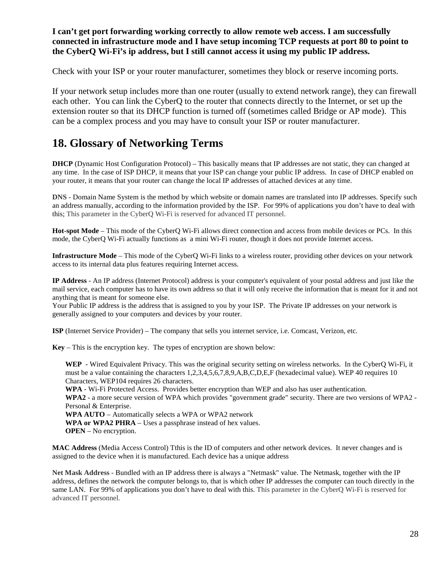### **I can't get port forwarding working correctly to allow remote web access. I am successfully connected in infrastructure mode and I have setup incoming TCP requests at port 80 to point to the CyberQ Wi-Fi's ip address, but I still cannot access it using my public IP address.**

Check with your ISP or your router manufacturer, sometimes they block or reserve incoming ports.

If your network setup includes more than one router (usually to extend network range), they can firewall each other. You can link the CyberQ to the router that connects directly to the Internet, or set up the extension router so that its DHCP function is turned off (sometimes called Bridge or AP mode). This can be a complex process and you may have to consult your ISP or router manufacturer.

# <span id="page-27-0"></span>**18. Glossary of Networking Terms**

**DHCP** (Dynamic Host Configuration Protocol) – This basically means that IP addresses are not static, they can changed at any time. In the case of ISP DHCP, it means that your ISP can change your public IP address. In case of DHCP enabled on your router, it means that your router can change the local IP addresses of attached devices at any time.

**DNS -** Domain Name System is the method by which website or domain names are translated into IP addresses. Specify such an address manually, according to the information provided by the ISP. For 99% of applications you don't have to deal with this; This parameter in the CyberQ Wi-Fi is reserved for advanced IT personnel.

**Hot-spot Mode** – This mode of the CyberQ Wi-Fi allows direct connection and access from mobile devices or PCs. In this mode, the CyberQ Wi-Fi actually functions as a mini Wi-Fi router, though it does not provide Internet access.

**Infrastructure Mode** – This mode of the CyberQ Wi-Fi links to a wireless router, providing other devices on your network access to its internal data plus features requiring Internet access.

**IP Address** - An IP address (Internet Protocol) address is your computer's equivalent of your postal address and just like the mail service, each computer has to have its own address so that it will only receive the information that is meant for it and not anything that is meant for someone else.

Your Public IP address is the address that is assigned to you by your ISP. The Private IP addresses on your network is generally assigned to your computers and devices by your router.

**ISP** (Internet Service Provider) – The company that sells you internet service, i.e. Comcast, Verizon, etc.

**Key** – This is the encryption key. The types of encryption are shown below:

**WEP** - Wired Equivalent Privacy. This was the original security setting on wireless networks. In the CyberQ Wi-Fi, it must be a value containing the characters 1,2,3,4,5,6,7,8,9,A,B,C,D,E,F (hexadecimal value). WEP 40 requires 10 Characters, WEP104 requires 26 characters.

**WPA** - Wi-Fi Protected Access. Provides better encryption than WEP and also has user authentication.

**WPA2** - a more secure version of WPA which provides "government grade" security. There are two versions of WPA2 - Personal & Enterprise.

**WPA AUTO** – Automatically selects a WPA or WPA2 network **WPA or WPA2 PHRA** – Uses a passphrase instead of hex values.

**OPEN** – No encryption.

**MAC Address** (Media Access Control) Tthis is the ID of computers and other network devices. It never changes and is assigned to the device when it is manufactured. Each device has a unique address

**Net Mask Address -** Bundled with an IP address there is always a "Netmask" value. The Netmask, together with the IP address, defines the network the computer belongs to, that is which other IP addresses the computer can touch directly in the same LAN. For 99% of applications you don't have to deal with this. This parameter in the CyberQ Wi-Fi is reserved for advanced IT personnel.